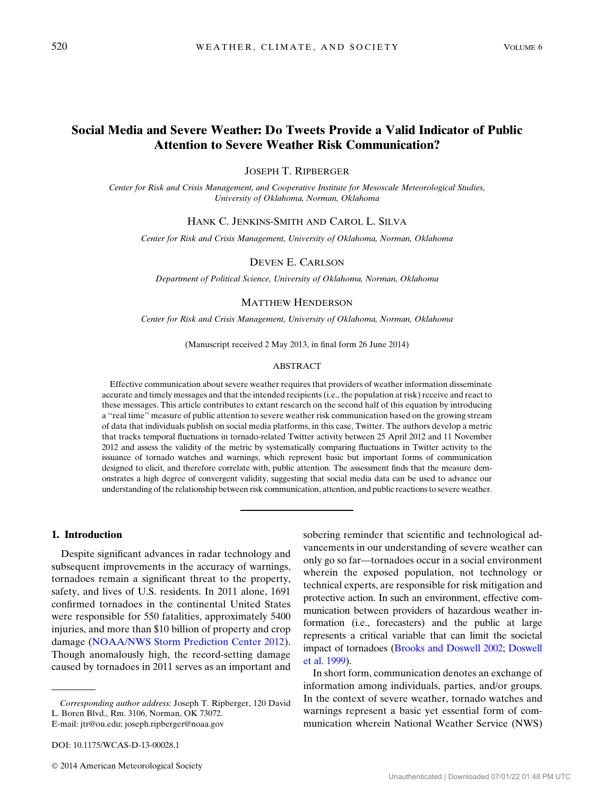# Social Media and Severe Weather: Do Tweets Provide a Valid Indicator of Public Attention to Severe Weather Risk Communication?

JOSEPH T. RIPBERGER

Center for Risk and Crisis Management, and Cooperative Institute for Mesoscale Meteorological Studies, University of Oklahoma, Norman, Oklahoma

HANK C. JENKINS-SMITH AND CAROL L. SILVA

Center for Risk and Crisis Management, University of Oklahoma, Norman, Oklahoma

#### DEVEN E. CARLSON

Department of Political Science, University of Oklahoma, Norman, Oklahoma

# MATTHEW HENDERSON

Center for Risk and Crisis Management, University of Oklahoma, Norman, Oklahoma

(Manuscript received 2 May 2013, in final form 26 June 2014)

# ABSTRACT

Effective communication about severe weather requires that providers of weather information disseminate accurate and timely messages and that the intended recipients (i.e., the population at risk) receive and react to these messages. This article contributes to extant research on the second half of this equation by introducing a ''real time'' measure of public attention to severe weather risk communication based on the growing stream of data that individuals publish on social media platforms, in this case, Twitter. The authors develop a metric that tracks temporal fluctuations in tornado-related Twitter activity between 25 April 2012 and 11 November 2012 and assess the validity of the metric by systematically comparing fluctuations in Twitter activity to the issuance of tornado watches and warnings, which represent basic but important forms of communication designed to elicit, and therefore correlate with, public attention. The assessment finds that the measure demonstrates a high degree of convergent validity, suggesting that social media data can be used to advance our understanding of the relationship between risk communication, attention, and public reactions to severe weather.

#### 1. Introduction

Despite significant advances in radar technology and subsequent improvements in the accuracy of warnings, tornadoes remain a significant threat to the property, safety, and lives of U.S. residents. In 2011 alone, 1691 confirmed tornadoes in the continental United States were responsible for 550 fatalities, approximately 5400 injuries, and more than \$10 billion of property and crop damage ([NOAA/NWS Storm Prediction Center 2012](#page-10-0)). Though anomalously high, the record-setting damage caused by tornadoes in 2011 serves as an important and

Corresponding author address: Joseph T. Ripberger, 120 David L. Boren Blvd., Rm. 3106, Norman, OK 73072.

E-mail: [jtr@ou.edu](mailto:jtr@ou.edu); [joseph.ripberger@noaa.gov](mailto:joseph.ripberger@noaa.gov)

DOI: 10.1175/WCAS-D-13-00028.1

2014 American Meteorological Society

sobering reminder that scientific and technological advancements in our understanding of severe weather can only go so far—tornadoes occur in a social environment wherein the exposed population, not technology or technical experts, are responsible for risk mitigation and protective action. In such an environment, effective communication between providers of hazardous weather information (i.e., forecasters) and the public at large represents a critical variable that can limit the societal impact of tornadoes ([Brooks and Doswell 2002](#page-9-0); [Doswell](#page-10-1) [et al. 1999](#page-10-1)).

In short form, communication denotes an exchange of information among individuals, parties, and/or groups. In the context of severe weather, tornado watches and warnings represent a basic yet essential form of communication wherein National Weather Service (NWS)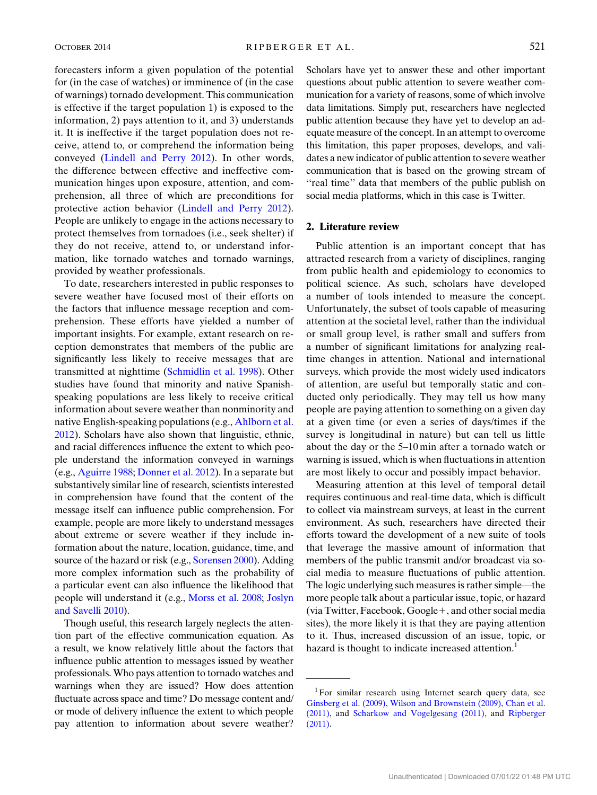forecasters inform a given population of the potential for (in the case of watches) or imminence of (in the case of warnings) tornado development. This communication is effective if the target population 1) is exposed to the information, 2) pays attention to it, and 3) understands it. It is ineffective if the target population does not receive, attend to, or comprehend the information being conveyed [\(Lindell and Perry 2012](#page-10-2)). In other words, the difference between effective and ineffective communication hinges upon exposure, attention, and comprehension, all three of which are preconditions for protective action behavior ([Lindell and Perry 2012\)](#page-10-2). People are unlikely to engage in the actions necessary to protect themselves from tornadoes (i.e., seek shelter) if they do not receive, attend to, or understand information, like tornado watches and tornado warnings, provided by weather professionals.

To date, researchers interested in public responses to severe weather have focused most of their efforts on the factors that influence message reception and comprehension. These efforts have yielded a number of important insights. For example, extant research on reception demonstrates that members of the public are significantly less likely to receive messages that are transmitted at nighttime ([Schmidlin et al. 1998](#page-10-3)). Other studies have found that minority and native Spanishspeaking populations are less likely to receive critical information about severe weather than nonminority and native English-speaking populations (e.g., [Ahlborn et al.](#page-9-1) [2012\)](#page-9-1). Scholars have also shown that linguistic, ethnic, and racial differences influence the extent to which people understand the information conveyed in warnings (e.g., [Aguirre 1988](#page-9-2); [Donner et al. 2012](#page-10-4)). In a separate but substantively similar line of research, scientists interested in comprehension have found that the content of the message itself can influence public comprehension. For example, people are more likely to understand messages about extreme or severe weather if they include information about the nature, location, guidance, time, and source of the hazard or risk (e.g., [Sorensen 2000\)](#page-10-5). Adding more complex information such as the probability of a particular event can also influence the likelihood that people will understand it (e.g., [Morss et al. 2008](#page-10-6); [Joslyn](#page-10-7) [and Savelli 2010](#page-10-7)).

Though useful, this research largely neglects the attention part of the effective communication equation. As a result, we know relatively little about the factors that influence public attention to messages issued by weather professionals. Who pays attention to tornado watches and warnings when they are issued? How does attention fluctuate across space and time? Do message content and/ or mode of delivery influence the extent to which people pay attention to information about severe weather? Scholars have yet to answer these and other important questions about public attention to severe weather communication for a variety of reasons, some of which involve data limitations. Simply put, researchers have neglected public attention because they have yet to develop an adequate measure of the concept. In an attempt to overcome this limitation, this paper proposes, develops, and validates a new indicator of public attention to severe weather communication that is based on the growing stream of ''real time'' data that members of the public publish on social media platforms, which in this case is Twitter.

# 2. Literature review

Public attention is an important concept that has attracted research from a variety of disciplines, ranging from public health and epidemiology to economics to political science. As such, scholars have developed a number of tools intended to measure the concept. Unfortunately, the subset of tools capable of measuring attention at the societal level, rather than the individual or small group level, is rather small and suffers from a number of significant limitations for analyzing realtime changes in attention. National and international surveys, which provide the most widely used indicators of attention, are useful but temporally static and conducted only periodically. They may tell us how many people are paying attention to something on a given day at a given time (or even a series of days/times if the survey is longitudinal in nature) but can tell us little about the day or the 5–10 min after a tornado watch or warning is issued, which is when fluctuations in attention are most likely to occur and possibly impact behavior.

Measuring attention at this level of temporal detail requires continuous and real-time data, which is difficult to collect via mainstream surveys, at least in the current environment. As such, researchers have directed their efforts toward the development of a new suite of tools that leverage the massive amount of information that members of the public transmit and/or broadcast via social media to measure fluctuations of public attention. The logic underlying such measures is rather simple—the more people talk about a particular issue, topic, or hazard  $(via Twitter, Facebook, Google+, and other social media)$ sites), the more likely it is that they are paying attention to it. Thus, increased discussion of an issue, topic, or hazard is thought to indicate increased attention.<sup>1</sup>

<sup>&</sup>lt;sup>1</sup> For similar research using Internet search query data, see [Ginsberg et al. \(2009\)](#page-10-8), [Wilson and Brownstein \(2009\),](#page-10-9) [Chan et al.](#page-10-10) [\(2011\),](#page-10-10) and [Scharkow and Vogelgesang \(2011\)](#page-10-11), and [Ripberger](#page-10-12) [\(2011\).](#page-10-12)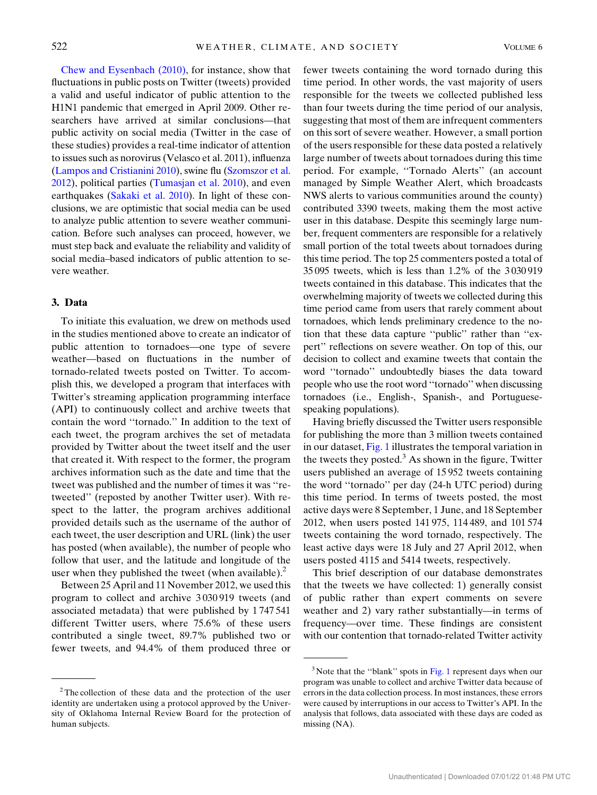[Chew and Eysenbach \(2010\)](#page-10-13), for instance, show that fluctuations in public posts on Twitter (tweets) provided a valid and useful indicator of public attention to the H1N1 pandemic that emerged in April 2009. Other researchers have arrived at similar conclusions—that public activity on social media (Twitter in the case of these studies) provides a real-time indicator of attention to issues such as norovirus (Velasco et al. 2011), influenza [\(Lampos and Cristianini 2010](#page-10-14)), swine flu ([Szomszor et al.](#page-10-15) [2012](#page-10-15)), political parties ([Tumasjan et al. 2010](#page-10-16)), and even earthquakes [\(Sakaki et al. 2010\)](#page-10-17). In light of these conclusions, we are optimistic that social media can be used to analyze public attention to severe weather communication. Before such analyses can proceed, however, we must step back and evaluate the reliability and validity of social media–based indicators of public attention to severe weather.

# 3. Data

To initiate this evaluation, we drew on methods used in the studies mentioned above to create an indicator of public attention to tornadoes—one type of severe weather—based on fluctuations in the number of tornado-related tweets posted on Twitter. To accomplish this, we developed a program that interfaces with Twitter's streaming application programming interface (API) to continuously collect and archive tweets that contain the word ''tornado.'' In addition to the text of each tweet, the program archives the set of metadata provided by Twitter about the tweet itself and the user that created it. With respect to the former, the program archives information such as the date and time that the tweet was published and the number of times it was ''retweeted'' (reposted by another Twitter user). With respect to the latter, the program archives additional provided details such as the username of the author of each tweet, the user description and URL (link) the user has posted (when available), the number of people who follow that user, and the latitude and longitude of the user when they published the tweet (when available).<sup>2</sup>

Between 25 April and 11 November 2012, we used this program to collect and archive 3 030 919 tweets (and associated metadata) that were published by 1 747 541 different Twitter users, where 75.6% of these users contributed a single tweet, 89.7% published two or fewer tweets, and 94.4% of them produced three or

fewer tweets containing the word tornado during this time period. In other words, the vast majority of users responsible for the tweets we collected published less than four tweets during the time period of our analysis, suggesting that most of them are infrequent commenters on this sort of severe weather. However, a small portion of the users responsible for these data posted a relatively large number of tweets about tornadoes during this time period. For example, ''Tornado Alerts'' (an account managed by Simple Weather Alert, which broadcasts NWS alerts to various communities around the county) contributed 3390 tweets, making them the most active user in this database. Despite this seemingly large number, frequent commenters are responsible for a relatively small portion of the total tweets about tornadoes during this time period. The top 25 commenters posted a total of 35 095 tweets, which is less than 1.2% of the 3 030 919 tweets contained in this database. This indicates that the overwhelming majority of tweets we collected during this time period came from users that rarely comment about tornadoes, which lends preliminary credence to the notion that these data capture ''public'' rather than ''expert'' reflections on severe weather. On top of this, our decision to collect and examine tweets that contain the word ''tornado'' undoubtedly biases the data toward people who use the root word ''tornado'' when discussing tornadoes (i.e., English-, Spanish-, and Portuguesespeaking populations).

Having briefly discussed the Twitter users responsible for publishing the more than 3 million tweets contained in our dataset, [Fig. 1](#page-3-0) illustrates the temporal variation in the tweets they posted. $3$  As shown in the figure, Twitter users published an average of 15 952 tweets containing the word ''tornado'' per day (24-h UTC period) during this time period. In terms of tweets posted, the most active days were 8 September, 1 June, and 18 September 2012, when users posted 141 975, 114 489, and 101 574 tweets containing the word tornado, respectively. The least active days were 18 July and 27 April 2012, when users posted 4115 and 5414 tweets, respectively.

This brief description of our database demonstrates that the tweets we have collected: 1) generally consist of public rather than expert comments on severe weather and 2) vary rather substantially—in terms of frequency—over time. These findings are consistent with our contention that tornado-related Twitter activity

 $2$ The collection of these data and the protection of the user identity are undertaken using a protocol approved by the University of Oklahoma Internal Review Board for the protection of human subjects.

 $3$  Note that the "blank" spots in [Fig. 1](#page-3-0) represent days when our program was unable to collect and archive Twitter data because of errors in the data collection process. In most instances, these errors were caused by interruptions in our access to Twitter's API. In the analysis that follows, data associated with these days are coded as missing (NA).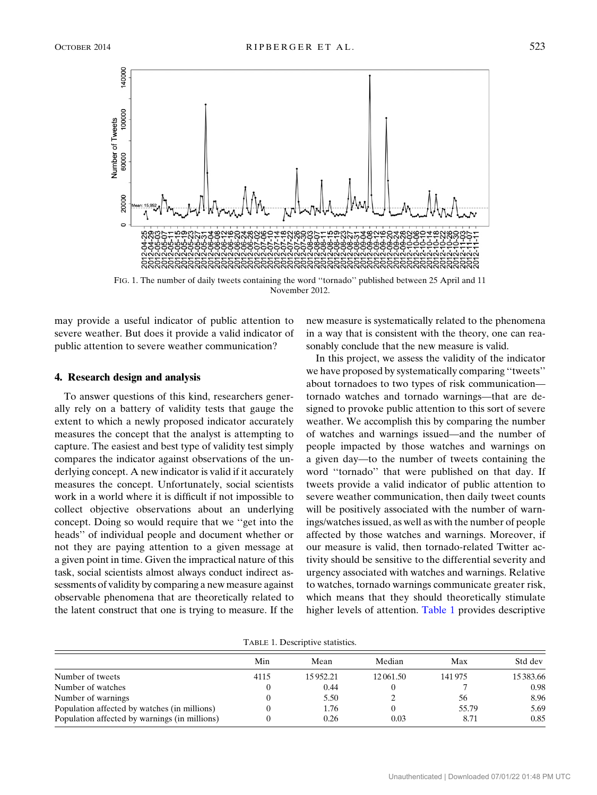<span id="page-3-0"></span>

FIG. 1. The number of daily tweets containing the word ''tornado'' published between 25 April and 11 November 2012.

may provide a useful indicator of public attention to severe weather. But does it provide a valid indicator of public attention to severe weather communication?

#### 4. Research design and analysis

To answer questions of this kind, researchers generally rely on a battery of validity tests that gauge the extent to which a newly proposed indicator accurately measures the concept that the analyst is attempting to capture. The easiest and best type of validity test simply compares the indicator against observations of the underlying concept. A new indicator is valid if it accurately measures the concept. Unfortunately, social scientists work in a world where it is difficult if not impossible to collect objective observations about an underlying concept. Doing so would require that we ''get into the heads'' of individual people and document whether or not they are paying attention to a given message at a given point in time. Given the impractical nature of this task, social scientists almost always conduct indirect assessments of validity by comparing a new measure against observable phenomena that are theoretically related to the latent construct that one is trying to measure. If the new measure is systematically related to the phenomena in a way that is consistent with the theory, one can reasonably conclude that the new measure is valid.

In this project, we assess the validity of the indicator we have proposed by systematically comparing ''tweets'' about tornadoes to two types of risk communication tornado watches and tornado warnings—that are designed to provoke public attention to this sort of severe weather. We accomplish this by comparing the number of watches and warnings issued—and the number of people impacted by those watches and warnings on a given day—to the number of tweets containing the word ''tornado'' that were published on that day. If tweets provide a valid indicator of public attention to severe weather communication, then daily tweet counts will be positively associated with the number of warnings/watches issued, as well as with the number of people affected by those watches and warnings. Moreover, if our measure is valid, then tornado-related Twitter activity should be sensitive to the differential severity and urgency associated with watches and warnings. Relative to watches, tornado warnings communicate greater risk, which means that they should theoretically stimulate higher levels of attention. [Table 1](#page-3-1) provides descriptive

| TABLE 1. Descriptive statistics. |  |  |
|----------------------------------|--|--|
|----------------------------------|--|--|

<span id="page-3-1"></span>

|                                               | Min  | Mean     | Median   | Max    | Std dev  |
|-----------------------------------------------|------|----------|----------|--------|----------|
| Number of tweets                              | 4115 | 15952.21 | 12061.50 | 141975 | 15383.66 |
| Number of watches                             |      | 0.44     |          |        | 0.98     |
| Number of warnings                            |      | 5.50     |          | 56     | 8.96     |
| Population affected by watches (in millions)  |      | 1.76     |          | 55.79  | 5.69     |
| Population affected by warnings (in millions) |      | 0.26     | 0.03     | 8.71   | 0.85     |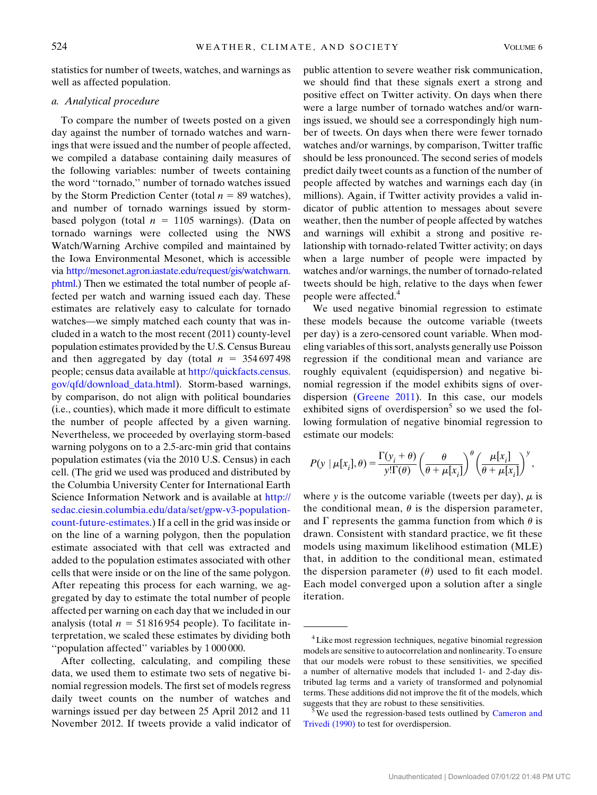statistics for number of tweets, watches, and warnings as well as affected population.

# a. Analytical procedure

To compare the number of tweets posted on a given day against the number of tornado watches and warnings that were issued and the number of people affected, we compiled a database containing daily measures of the following variables: number of tweets containing the word ''tornado,'' number of tornado watches issued by the Storm Prediction Center (total  $n = 89$  watches), and number of tornado warnings issued by stormbased polygon (total  $n = 1105$  warnings). (Data on tornado warnings were collected using the NWS Watch/Warning Archive compiled and maintained by the Iowa Environmental Mesonet, which is accessible via [http://mesonet.agron.iastate.edu/request/gis/watchwarn.](http://mesonet.agron.iastate.edu/request/gis/watchwarn.phtml) [phtml.](http://mesonet.agron.iastate.edu/request/gis/watchwarn.phtml)) Then we estimated the total number of people affected per watch and warning issued each day. These estimates are relatively easy to calculate for tornado watches—we simply matched each county that was included in a watch to the most recent (2011) county-level population estimates provided by the U.S. Census Bureau and then aggregated by day (total  $n = 354\,697\,498$ people; census data available at [http://quickfacts.census.](http://quickfacts.census.gov/qfd/download_data.html) [gov/qfd/download\\_data.html\)](http://quickfacts.census.gov/qfd/download_data.html). Storm-based warnings, by comparison, do not align with political boundaries (i.e., counties), which made it more difficult to estimate the number of people affected by a given warning. Nevertheless, we proceeded by overlaying storm-based warning polygons on to a 2.5-arc-min grid that contains population estimates (via the 2010 U.S. Census) in each cell. (The grid we used was produced and distributed by the Columbia University Center for International Earth Science Information Network and is available at [http://](http://sedac.ciesin.columbia.edu/data/set/gpw-v3-population-count-future-estimates) [sedac.ciesin.columbia.edu/data/set/gpw-v3-population](http://sedac.ciesin.columbia.edu/data/set/gpw-v3-population-count-future-estimates)[count-future-estimates.](http://sedac.ciesin.columbia.edu/data/set/gpw-v3-population-count-future-estimates)) If a cell in the grid was inside or on the line of a warning polygon, then the population estimate associated with that cell was extracted and added to the population estimates associated with other cells that were inside or on the line of the same polygon. After repeating this process for each warning, we aggregated by day to estimate the total number of people affected per warning on each day that we included in our analysis (total  $n = 51816954$  people). To facilitate interpretation, we scaled these estimates by dividing both ''population affected'' variables by 1 000 000.

After collecting, calculating, and compiling these data, we used them to estimate two sets of negative binomial regression models. The first set of models regress daily tweet counts on the number of watches and warnings issued per day between 25 April 2012 and 11 November 2012. If tweets provide a valid indicator of public attention to severe weather risk communication, we should find that these signals exert a strong and positive effect on Twitter activity. On days when there were a large number of tornado watches and/or warnings issued, we should see a correspondingly high number of tweets. On days when there were fewer tornado watches and/or warnings, by comparison, Twitter traffic should be less pronounced. The second series of models predict daily tweet counts as a function of the number of people affected by watches and warnings each day (in millions). Again, if Twitter activity provides a valid indicator of public attention to messages about severe weather, then the number of people affected by watches and warnings will exhibit a strong and positive relationship with tornado-related Twitter activity; on days when a large number of people were impacted by watches and/or warnings, the number of tornado-related tweets should be high, relative to the days when fewer people were affected.4

We used negative binomial regression to estimate these models because the outcome variable (tweets per day) is a zero-censored count variable. When modeling variables of this sort, analysts generally use Poisson regression if the conditional mean and variance are roughly equivalent (equidispersion) and negative binomial regression if the model exhibits signs of overdispersion [\(Greene 2011\)](#page-10-18). In this case, our models exhibited signs of overdispersion<sup>5</sup> so we used the following formulation of negative binomial regression to estimate our models:

$$
P(y \mid \mu[x_i], \theta) = \frac{\Gamma(y_i + \theta)}{y! \Gamma(\theta)} \left(\frac{\theta}{\theta + \mu[x_i]}\right)^{\theta} \left(\frac{\mu[x_i]}{\theta + \mu[x_i]}\right)^{y},
$$

where y is the outcome variable (tweets per day),  $\mu$  is the conditional mean,  $\theta$  is the dispersion parameter, and  $\Gamma$  represents the gamma function from which  $\theta$  is drawn. Consistent with standard practice, we fit these models using maximum likelihood estimation (MLE) that, in addition to the conditional mean, estimated the dispersion parameter  $(\theta)$  used to fit each model. Each model converged upon a solution after a single iteration.

<sup>4</sup>Like most regression techniques, negative binomial regression models are sensitive to autocorrelation and nonlinearity. To ensure that our models were robust to these sensitivities, we specified a number of alternative models that included 1- and 2-day distributed lag terms and a variety of transformed and polynomial terms. These additions did not improve the fit of the models, which

suggests that they are robust to these sensitivities.<br><sup>5</sup>We used the regression-based tests outlined by [Cameron and](#page-10-19) [Trivedi \(1990\)](#page-10-19) to test for overdispersion.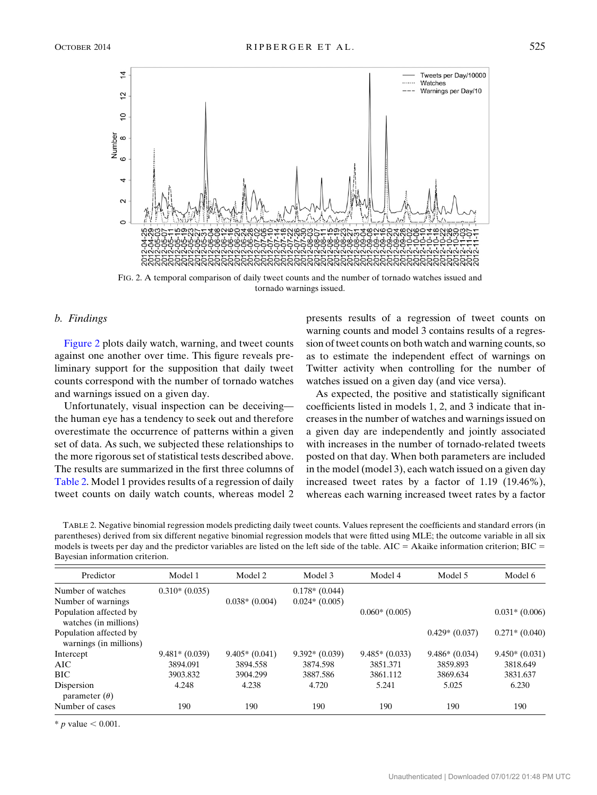<span id="page-5-0"></span>

FIG. 2. A temporal comparison of daily tweet counts and the number of tornado watches issued and tornado warnings issued.

#### b. Findings

[Figure 2](#page-5-0) plots daily watch, warning, and tweet counts against one another over time. This figure reveals preliminary support for the supposition that daily tweet counts correspond with the number of tornado watches and warnings issued on a given day.

Unfortunately, visual inspection can be deceiving the human eye has a tendency to seek out and therefore overestimate the occurrence of patterns within a given set of data. As such, we subjected these relationships to the more rigorous set of statistical tests described above. The results are summarized in the first three columns of [Table 2](#page-5-1). Model 1 provides results of a regression of daily tweet counts on daily watch counts, whereas model 2 presents results of a regression of tweet counts on warning counts and model 3 contains results of a regression of tweet counts on both watch and warning counts, so as to estimate the independent effect of warnings on Twitter activity when controlling for the number of watches issued on a given day (and vice versa).

As expected, the positive and statistically significant coefficients listed in models 1, 2, and 3 indicate that increases in the number of watches and warnings issued on a given day are independently and jointly associated with increases in the number of tornado-related tweets posted on that day. When both parameters are included in the model (model 3), each watch issued on a given day increased tweet rates by a factor of 1.19 (19.46%), whereas each warning increased tweet rates by a factor

<span id="page-5-1"></span>TABLE 2. Negative binomial regression models predicting daily tweet counts. Values represent the coefficients and standard errors (in parentheses) derived from six different negative binomial regression models that were fitted using MLE; the outcome variable in all six models is tweets per day and the predictor variables are listed on the left side of the table.  $AIC = Akaike$  information criterion; BIC = Bayesian information criterion.

| Predictor                                        | Model 1         | Model 2         | Model 3         | Model 4         | Model 5         | Model 6         |
|--------------------------------------------------|-----------------|-----------------|-----------------|-----------------|-----------------|-----------------|
| Number of watches                                | $0.310*(0.035)$ |                 | $0.178*(0.044)$ |                 |                 |                 |
| Number of warnings                               |                 | $0.038*(0.004)$ | $0.024*(0.005)$ |                 |                 |                 |
| Population affected by<br>watches (in millions)  |                 |                 |                 | $0.060*(0.005)$ |                 | $0.031*(0.006)$ |
| Population affected by<br>warnings (in millions) |                 |                 |                 |                 | $0.429*(0.037)$ | $0.271*(0.040)$ |
| Intercept                                        | $9.481*(0.039)$ | $9.405*(0.041)$ | $9.392*(0.039)$ | $9.485*(0.033)$ | $9.486*(0.034)$ | $9.450*(0.031)$ |
| AIC                                              | 3894.091        | 3894.558        | 3874.598        | 3851.371        | 3859.893        | 3818.649        |
| BIC                                              | 3903.832        | 3904.299        | 3887.586        | 3861.112        | 3869.634        | 3831.637        |
| Dispersion<br>parameter $(\theta)$               | 4.248           | 4.238           | 4.720           | 5.241           | 5.025           | 6.230           |
| Number of cases                                  | 190             | 190             | 190             | 190             | 190             | 190             |

\* *p* value  $< 0.001$ .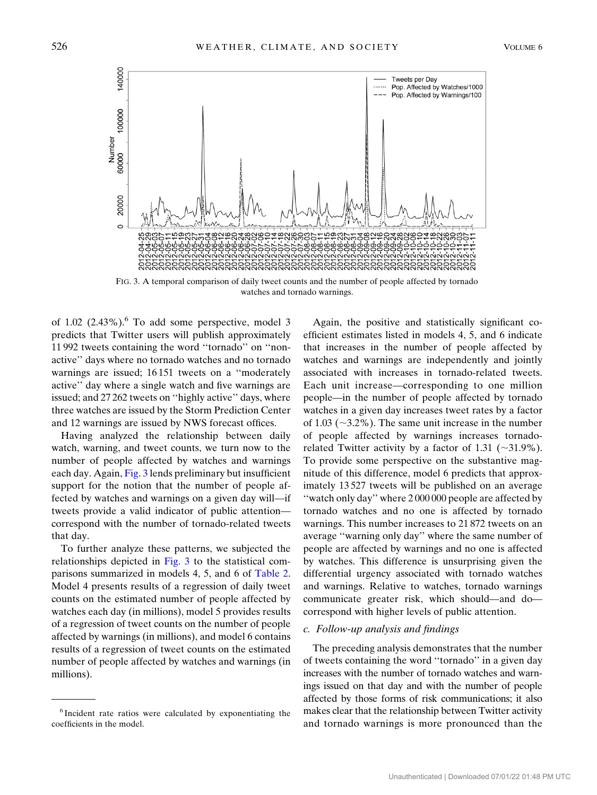<span id="page-6-0"></span>

FIG. 3. A temporal comparison of daily tweet counts and the number of people affected by tornado watches and tornado warnings.

of  $1.02$  (2.43%).<sup>6</sup> To add some perspective, model 3 predicts that Twitter users will publish approximately 11 992 tweets containing the word ''tornado'' on ''nonactive'' days where no tornado watches and no tornado warnings are issued; 16 151 tweets on a ''moderately active'' day where a single watch and five warnings are issued; and 27 262 tweets on ''highly active'' days, where three watches are issued by the Storm Prediction Center and 12 warnings are issued by NWS forecast offices.

Having analyzed the relationship between daily watch, warning, and tweet counts, we turn now to the number of people affected by watches and warnings each day. Again, [Fig. 3](#page-6-0) lends preliminary but insufficient support for the notion that the number of people affected by watches and warnings on a given day will—if tweets provide a valid indicator of public attention correspond with the number of tornado-related tweets that day.

To further analyze these patterns, we subjected the relationships depicted in [Fig. 3](#page-6-0) to the statistical comparisons summarized in models 4, 5, and 6 of [Table 2.](#page-5-1) Model 4 presents results of a regression of daily tweet counts on the estimated number of people affected by watches each day (in millions), model 5 provides results of a regression of tweet counts on the number of people affected by warnings (in millions), and model 6 contains results of a regression of tweet counts on the estimated number of people affected by watches and warnings (in millions).

Again, the positive and statistically significant coefficient estimates listed in models 4, 5, and 6 indicate that increases in the number of people affected by watches and warnings are independently and jointly associated with increases in tornado-related tweets. Each unit increase—corresponding to one million people—in the number of people affected by tornado watches in a given day increases tweet rates by a factor of 1.03 ( $\sim$ 3.2%). The same unit increase in the number of people affected by warnings increases tornadorelated Twitter activity by a factor of 1.31 ( $\sim$ 31.9%). To provide some perspective on the substantive magnitude of this difference, model 6 predicts that approximately 13 527 tweets will be published on an average ''watch only day'' where 2 000 000 people are affected by tornado watches and no one is affected by tornado warnings. This number increases to 21 872 tweets on an average ''warning only day'' where the same number of people are affected by warnings and no one is affected by watches. This difference is unsurprising given the differential urgency associated with tornado watches and warnings. Relative to watches, tornado warnings communicate greater risk, which should—and do correspond with higher levels of public attention.

# c. Follow-up analysis and findings

The preceding analysis demonstrates that the number of tweets containing the word ''tornado'' in a given day increases with the number of tornado watches and warnings issued on that day and with the number of people affected by those forms of risk communications; it also makes clear that the relationship between Twitter activity and tornado warnings is more pronounced than the

<sup>6</sup> Incident rate ratios were calculated by exponentiating the coefficients in the model.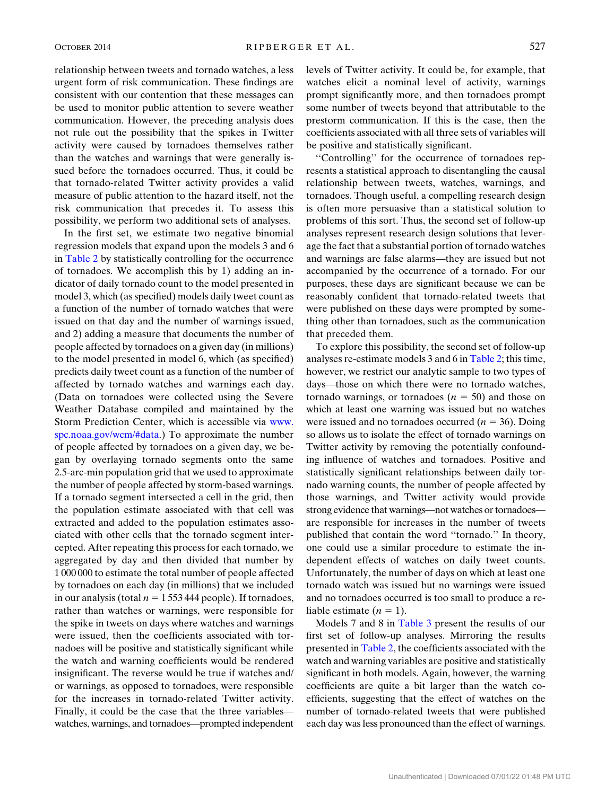relationship between tweets and tornado watches, a less urgent form of risk communication. These findings are consistent with our contention that these messages can be used to monitor public attention to severe weather communication. However, the preceding analysis does not rule out the possibility that the spikes in Twitter activity were caused by tornadoes themselves rather than the watches and warnings that were generally issued before the tornadoes occurred. Thus, it could be that tornado-related Twitter activity provides a valid measure of public attention to the hazard itself, not the risk communication that precedes it. To assess this possibility, we perform two additional sets of analyses.

In the first set, we estimate two negative binomial regression models that expand upon the models 3 and 6 in [Table 2](#page-5-1) by statistically controlling for the occurrence of tornadoes. We accomplish this by 1) adding an indicator of daily tornado count to the model presented in model 3, which (as specified) models daily tweet count as a function of the number of tornado watches that were issued on that day and the number of warnings issued, and 2) adding a measure that documents the number of people affected by tornadoes on a given day (in millions) to the model presented in model 6, which (as specified) predicts daily tweet count as a function of the number of affected by tornado watches and warnings each day. (Data on tornadoes were collected using the Severe Weather Database compiled and maintained by the Storm Prediction Center, which is accessible via [www.](http://www.spc.noaa.gov/wcm/#data) [spc.noaa.gov/wcm/#data](http://www.spc.noaa.gov/wcm/#data).) To approximate the number of people affected by tornadoes on a given day, we began by overlaying tornado segments onto the same 2.5-arc-min population grid that we used to approximate the number of people affected by storm-based warnings. If a tornado segment intersected a cell in the grid, then the population estimate associated with that cell was extracted and added to the population estimates associated with other cells that the tornado segment intercepted. After repeating this process for each tornado, we aggregated by day and then divided that number by 1 000 000 to estimate the total number of people affected by tornadoes on each day (in millions) that we included in our analysis (total  $n = 1553 444$  people). If tornadoes, rather than watches or warnings, were responsible for the spike in tweets on days where watches and warnings were issued, then the coefficients associated with tornadoes will be positive and statistically significant while the watch and warning coefficients would be rendered insignificant. The reverse would be true if watches and/ or warnings, as opposed to tornadoes, were responsible for the increases in tornado-related Twitter activity. Finally, it could be the case that the three variables watches, warnings, and tornadoes—prompted independent levels of Twitter activity. It could be, for example, that watches elicit a nominal level of activity, warnings prompt significantly more, and then tornadoes prompt some number of tweets beyond that attributable to the prestorm communication. If this is the case, then the coefficients associated with all three sets of variables will be positive and statistically significant.

''Controlling'' for the occurrence of tornadoes represents a statistical approach to disentangling the causal relationship between tweets, watches, warnings, and tornadoes. Though useful, a compelling research design is often more persuasive than a statistical solution to problems of this sort. Thus, the second set of follow-up analyses represent research design solutions that leverage the fact that a substantial portion of tornado watches and warnings are false alarms—they are issued but not accompanied by the occurrence of a tornado. For our purposes, these days are significant because we can be reasonably confident that tornado-related tweets that were published on these days were prompted by something other than tornadoes, such as the communication that preceded them.

To explore this possibility, the second set of follow-up analyses re-estimate models 3 and 6 in [Table 2](#page-5-1); this time, however, we restrict our analytic sample to two types of days—those on which there were no tornado watches, tornado warnings, or tornadoes  $(n = 50)$  and those on which at least one warning was issued but no watches were issued and no tornadoes occurred ( $n = 36$ ). Doing so allows us to isolate the effect of tornado warnings on Twitter activity by removing the potentially confounding influence of watches and tornadoes. Positive and statistically significant relationships between daily tornado warning counts, the number of people affected by those warnings, and Twitter activity would provide strong evidence that warnings—not watches or tornadoes are responsible for increases in the number of tweets published that contain the word ''tornado.'' In theory, one could use a similar procedure to estimate the independent effects of watches on daily tweet counts. Unfortunately, the number of days on which at least one tornado watch was issued but no warnings were issued and no tornadoes occurred is too small to produce a reliable estimate  $(n = 1)$ .

Models 7 and 8 in [Table 3](#page-8-0) present the results of our first set of follow-up analyses. Mirroring the results presented in [Table 2](#page-5-1), the coefficients associated with the watch and warning variables are positive and statistically significant in both models. Again, however, the warning coefficients are quite a bit larger than the watch coefficients, suggesting that the effect of watches on the number of tornado-related tweets that were published each day was less pronounced than the effect of warnings.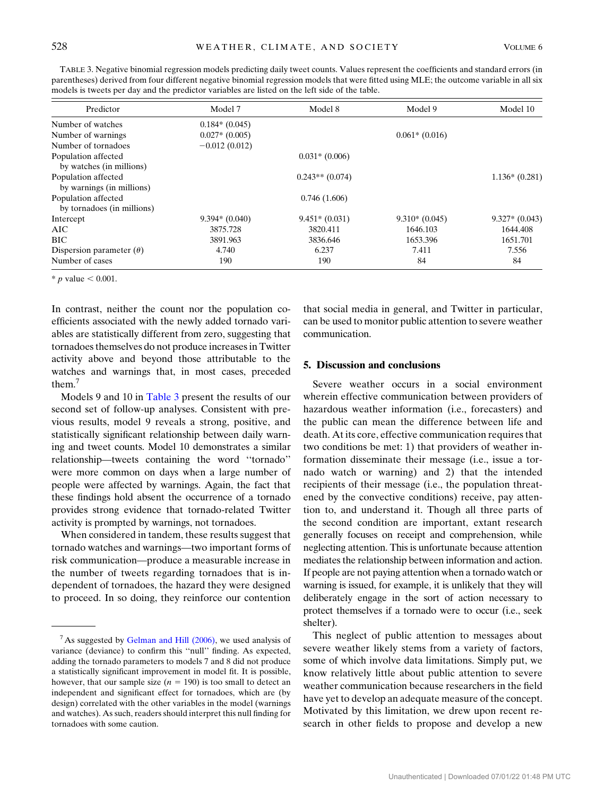<span id="page-8-0"></span>

| TABLE 3. Negative binomial regression models predicting daily tweet counts. Values represent the coefficients and standard errors (in    |
|------------------------------------------------------------------------------------------------------------------------------------------|
| parentheses) derived from four different negative binomial regression models that were fitted using MLE; the outcome variable in all six |
| models is tweets per day and the predictor variables are listed on the left side of the table.                                           |
|                                                                                                                                          |

| Predictor                       | Model 7         | Model 8           | Model 9          | Model 10        |
|---------------------------------|-----------------|-------------------|------------------|-----------------|
| Number of watches               | $0.184*(0.045)$ |                   |                  |                 |
| Number of warnings              | $0.027*(0.005)$ |                   | $0.061*$ (0.016) |                 |
| Number of tornadoes             | $-0.012(0.012)$ |                   |                  |                 |
| Population affected             |                 | $0.031*(0.006)$   |                  |                 |
| by watches (in millions)        |                 |                   |                  |                 |
| Population affected             |                 | $0.243**$ (0.074) |                  | $1.136*(0.281)$ |
| by warnings (in millions)       |                 |                   |                  |                 |
| Population affected             |                 | 0.746(1.606)      |                  |                 |
| by tornadoes (in millions)      |                 |                   |                  |                 |
| Intercept                       | $9.394*(0.040)$ | $9.451*(0.031)$   | $9.310*(0.045)$  | $9.327*(0.043)$ |
| AIC                             | 3875.728        | 3820.411          | 1646.103         | 1644.408        |
| BIC                             | 3891.963        | 3836.646          | 1653.396         | 1651.701        |
| Dispersion parameter $(\theta)$ | 4.740           | 6.237             | 7.411            | 7.556           |
| Number of cases                 | 190             | 190               | 84               | 84              |

\* *p* value  $< 0.001$ .

In contrast, neither the count nor the population coefficients associated with the newly added tornado variables are statistically different from zero, suggesting that tornadoes themselves do not produce increases in Twitter activity above and beyond those attributable to the watches and warnings that, in most cases, preceded them.<sup>7</sup>

Models 9 and 10 in [Table 3](#page-8-0) present the results of our second set of follow-up analyses. Consistent with previous results, model 9 reveals a strong, positive, and statistically significant relationship between daily warning and tweet counts. Model 10 demonstrates a similar relationship—tweets containing the word ''tornado'' were more common on days when a large number of people were affected by warnings. Again, the fact that these findings hold absent the occurrence of a tornado provides strong evidence that tornado-related Twitter activity is prompted by warnings, not tornadoes.

When considered in tandem, these results suggest that tornado watches and warnings—two important forms of risk communication—produce a measurable increase in the number of tweets regarding tornadoes that is independent of tornadoes, the hazard they were designed to proceed. In so doing, they reinforce our contention

that social media in general, and Twitter in particular, can be used to monitor public attention to severe weather communication.

# 5. Discussion and conclusions

Severe weather occurs in a social environment wherein effective communication between providers of hazardous weather information (i.e., forecasters) and the public can mean the difference between life and death. At its core, effective communication requires that two conditions be met: 1) that providers of weather information disseminate their message (i.e., issue a tornado watch or warning) and 2) that the intended recipients of their message (i.e., the population threatened by the convective conditions) receive, pay attention to, and understand it. Though all three parts of the second condition are important, extant research generally focuses on receipt and comprehension, while neglecting attention. This is unfortunate because attention mediates the relationship between information and action. If people are not paying attention when a tornado watch or warning is issued, for example, it is unlikely that they will deliberately engage in the sort of action necessary to protect themselves if a tornado were to occur (i.e., seek shelter).

This neglect of public attention to messages about severe weather likely stems from a variety of factors, some of which involve data limitations. Simply put, we know relatively little about public attention to severe weather communication because researchers in the field have yet to develop an adequate measure of the concept. Motivated by this limitation, we drew upon recent research in other fields to propose and develop a new

 $7$  As suggested by [Gelman and Hill \(2006\)](#page-10-20), we used analysis of variance (deviance) to confirm this ''null'' finding. As expected, adding the tornado parameters to models 7 and 8 did not produce a statistically significant improvement in model fit. It is possible, however, that our sample size  $(n = 190)$  is too small to detect an independent and significant effect for tornadoes, which are (by design) correlated with the other variables in the model (warnings and watches). As such, readers should interpret this null finding for tornadoes with some caution.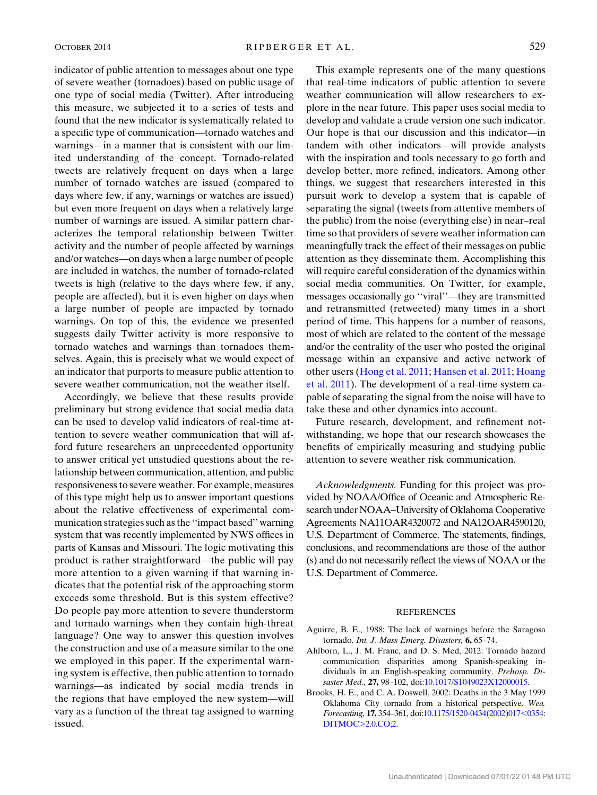indicator of public attention to messages about one type of severe weather (tornadoes) based on public usage of one type of social media (Twitter). After introducing this measure, we subjected it to a series of tests and found that the new indicator is systematically related to a specific type of communication—tornado watches and warnings—in a manner that is consistent with our limited understanding of the concept. Tornado-related tweets are relatively frequent on days when a large number of tornado watches are issued (compared to days where few, if any, warnings or watches are issued) but even more frequent on days when a relatively large number of warnings are issued. A similar pattern characterizes the temporal relationship between Twitter activity and the number of people affected by warnings and/or watches—on days when a large number of people are included in watches, the number of tornado-related tweets is high (relative to the days where few, if any, people are affected), but it is even higher on days when a large number of people are impacted by tornado warnings. On top of this, the evidence we presented suggests daily Twitter activity is more responsive to tornado watches and warnings than tornadoes themselves. Again, this is precisely what we would expect of an indicator that purports to measure public attention to severe weather communication, not the weather itself.

Accordingly, we believe that these results provide preliminary but strong evidence that social media data can be used to develop valid indicators of real-time attention to severe weather communication that will afford future researchers an unprecedented opportunity to answer critical yet unstudied questions about the relationship between communication, attention, and public responsiveness to severe weather. For example, measures of this type might help us to answer important questions about the relative effectiveness of experimental communication strategies such as the ''impact based'' warning system that was recently implemented by NWS offices in parts of Kansas and Missouri. The logic motivating this product is rather straightforward—the public will pay more attention to a given warning if that warning indicates that the potential risk of the approaching storm exceeds some threshold. But is this system effective? Do people pay more attention to severe thunderstorm and tornado warnings when they contain high-threat language? One way to answer this question involves the construction and use of a measure similar to the one we employed in this paper. If the experimental warning system is effective, then public attention to tornado warnings—as indicated by social media trends in the regions that have employed the new system—will vary as a function of the threat tag assigned to warning issued.

This example represents one of the many questions that real-time indicators of public attention to severe weather communication will allow researchers to explore in the near future. This paper uses social media to develop and validate a crude version one such indicator. Our hope is that our discussion and this indicator—in tandem with other indicators—will provide analysts with the inspiration and tools necessary to go forth and develop better, more refined, indicators. Among other things, we suggest that researchers interested in this pursuit work to develop a system that is capable of separating the signal (tweets from attentive members of the public) from the noise (everything else) in near–real time so that providers of severe weather information can meaningfully track the effect of their messages on public attention as they disseminate them. Accomplishing this will require careful consideration of the dynamics within social media communities. On Twitter, for example, messages occasionally go ''viral''—they are transmitted and retransmitted (retweeted) many times in a short period of time. This happens for a number of reasons, most of which are related to the content of the message and/or the centrality of the user who posted the original message within an expansive and active network of other users ([Hong et al. 2011](#page-10-21); [Hansen et al. 2011;](#page-10-22) [Hoang](#page-10-23) [et al. 2011\)](#page-10-23). The development of a real-time system capable of separating the signal from the noise will have to take these and other dynamics into account.

Future research, development, and refinement notwithstanding, we hope that our research showcases the benefits of empirically measuring and studying public attention to severe weather risk communication.

Acknowledgments. Funding for this project was provided by NOAA/Office of Oceanic and Atmospheric Research under NOAA–University of Oklahoma Cooperative Agreements NA11OAR4320072 and NA12OAR4590120, U.S. Department of Commerce. The statements, findings, conclusions, and recommendations are those of the author (s) and do not necessarily reflect the views of NOAA or the U.S. Department of Commerce.

#### REFERENCES

- <span id="page-9-2"></span>Aguirre, B. E., 1988: The lack of warnings before the Saragosa tornado. Int. J. Mass Emerg. Disasters, 6, 65-74.
- <span id="page-9-1"></span>Ahlborn, L., J. M. Franc, and D. S. Med, 2012: Tornado hazard communication disparities among Spanish-speaking individuals in an English-speaking community. Prehosp. Di-saster Med., 27, 98-102, doi:[10.1017/S1049023X12000015](http://dx.doi.org/10.1017/S1049023X12000015).
- <span id="page-9-0"></span>Brooks, H. E., and C. A. Doswell, 2002: Deaths in the 3 May 1999 Oklahoma City tornado from a historical perspective. Wea. Forecasting, 17, 354-361, doi[:10.1175/1520-0434\(2002\)017](http://dx.doi.org/10.1175/1520-0434(2002)017<0354:DITMOC>2.0.CO;2)<0354: [DITMOC](http://dx.doi.org/10.1175/1520-0434(2002)017<0354:DITMOC>2.0.CO;2)>2.0.CO:2.